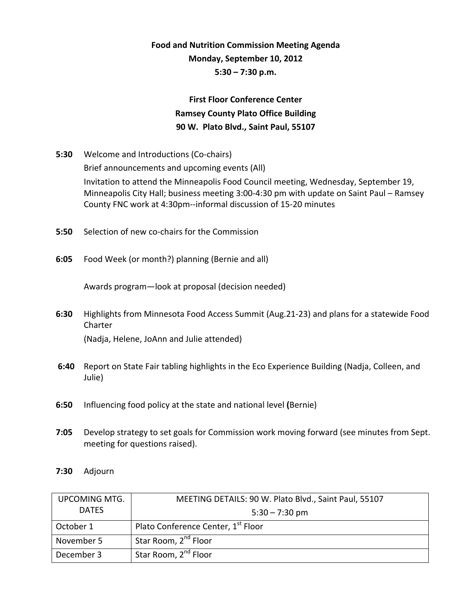## **Food and Nutrition Commission Meeting Agenda Monday, September 10, 2012 5:30 – 7:30 p.m.**

## **First Floor Conference Center Ramsey County Plato Office Building 90 W. Plato Blvd., Saint Paul, 55107**

| 5:30 | Welcome and Introductions (Co-chairs)                                                   |
|------|-----------------------------------------------------------------------------------------|
|      | Brief announcements and upcoming events (All)                                           |
|      | Invitation to attend the Minneapolis Food Council meeting, Wednesday, September 19,     |
|      | Minneapolis City Hall; business meeting 3:00-4:30 pm with update on Saint Paul – Ramsey |
|      | County FNC work at 4:30pm--informal discussion of 15-20 minutes                         |

- **5:50** Selection of new co-chairs for the Commission
- **6:05** Food Week (or month?) planning (Bernie and all)

Awards program—look at proposal (decision needed)

- **6:30** Highlights from Minnesota Food Access Summit (Aug.21‐23) and plans for a statewide Food Charter (Nadja, Helene, JoAnn and Julie attended)
- **6:40** Report on State Fair tabling highlights in the Eco Experience Building (Nadja, Colleen, and Julie)
- **6:50** Influencing food policy at the state and national level **(**Bernie)
- **7:05** Develop strategy to set goals for Commission work moving forward (see minutes from Sept. meeting for questions raised).
- **7:30** Adjourn

| <b>UPCOMING MTG.</b> | MEETING DETAILS: 90 W. Plato Blvd., Saint Paul, 55107 |
|----------------------|-------------------------------------------------------|
| <b>DATFS</b>         | $5:30 - 7:30$ pm                                      |
| October 1            | Plato Conference Center, 1 <sup>st</sup> Floor        |
| November 5           | Star Room, 2 <sup>nd</sup> Floor                      |
| December 3           | Star Room, 2 <sup>nd</sup> Floor                      |